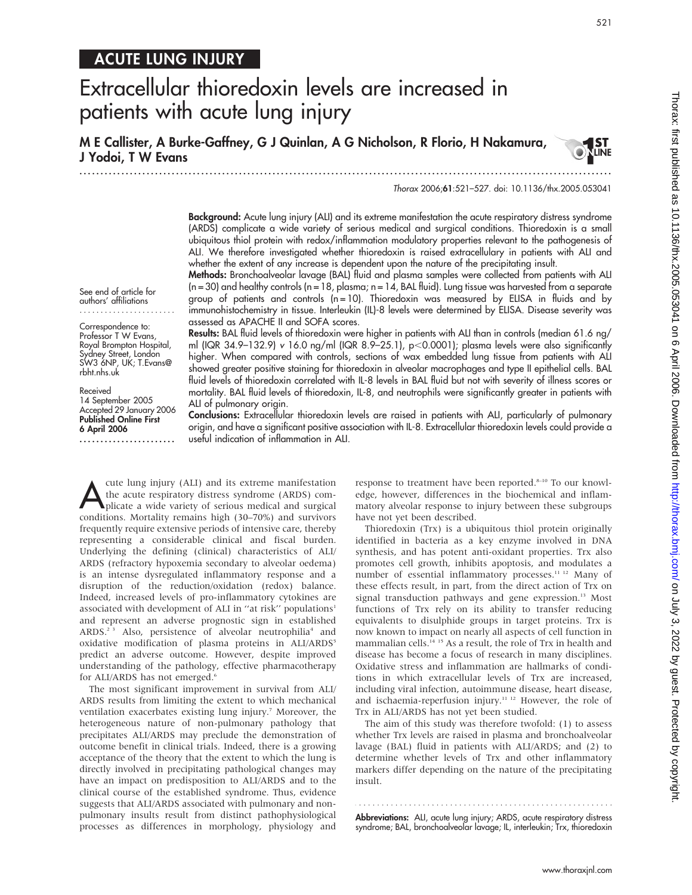Thorax: first published as 10:1136X#10.1010 by 2020 September 2009. Downloaded from Thorax.bmj.com/ Thorax. First as 10:1136/thx.2005.053041 on 6 April 2007. Downloaded from the 2007. Downloaded from the 2007. Downloaded f Thorax: first published as 10.1136/thx.2005.053041 on 6 April 2006. Downloaded from http://thorax.bmj.com/ on July 3, 2022 by guest. Protected by copyright

521

**LINE** 

# ACUTE LUNG INJURY

# Extracellular thioredoxin levels are increased in patients with acute lung injury

M E Callister, A Burke-Gaffney, G J Quinlan, A G Nicholson, R Florio, H Nakamura, J Yodoi, T W Evans

.............................................................................................................................. .

Thorax 2006;61:521–527. doi: 10.1136/thx.2005.053041

Background: Acute lung injury (ALI) and its extreme manifestation the acute respiratory distress syndrome (ARDS) complicate a wide variety of serious medical and surgical conditions. Thioredoxin is a small ubiquitous thiol protein with redox/inflammation modulatory properties relevant to the pathogenesis of ALI. We therefore investigated whether thioredoxin is raised extracellulary in patients with ALI and whether the extent of any increase is dependent upon the nature of the precipitating insult.

Methods: Bronchoalveolar lavage (BAL) fluid and plasma samples were collected from patients with ALI (n = 30) and healthy controls (n = 18, plasma; n = 14, BAL fluid). Lung tissue was harvested from a separate group of patients and controls ( $n = 10$ ). Thioredoxin was measured by ELISA in fluids and by immunohistochemistry in tissue. Interleukin (IL)-8 levels were determined by ELISA. Disease severity was assessed as APACHE II and SOFA scores.

See end of article for authors' affiliations .......................

Correspondence to: Professor T W Evans, Royal Brompton Hospital, Sydney Street, London SW3 6NP, UK; T.Evans@ rbht.nhs.uk

Received 14 September 2005 Accepted 29 January 2006 Published Online First 6 April 2006 .......................

Results: BAL fluid levels of thioredoxin were higher in patients with ALI than in controls (median 61.6 ng/ ml (IQR 34.9–132.9) v 16.0 ng/ml (IQR 8.9–25.1), p<0.0001); plasma levels were also significantly higher. When compared with controls, sections of wax embedded lung tissue from patients with ALI showed greater positive staining for thioredoxin in alveolar macrophages and type II epithelial cells. BAL fluid levels of thioredoxin correlated with IL-8 levels in BAL fluid but not with severity of illness scores or mortality. BAL fluid levels of thioredoxin, IL-8, and neutrophils were significantly greater in patients with ALI of pulmonary origin.

Conclusions: Extracellular thioredoxin levels are raised in patients with ALI, particularly of pulmonary origin, and have a significant positive association with IL-8. Extracellular thioredoxin levels could provide a useful indication of inflammation in ALI.

The lung injury (ALI) and its extreme manifestation<br>the acute respiratory distress syndrome (ARDS) complicate a wide variety of serious medical and surgical<br>conditions. Mortality remains high (20.70%) and surgivers the acute respiratory distress syndrome (ARDS) comconditions. Mortality remains high (30–70%) and survivors frequently require extensive periods of intensive care, thereby representing a considerable clinical and fiscal burden. Underlying the defining (clinical) characteristics of ALI/ ARDS (refractory hypoxemia secondary to alveolar oedema) is an intense dysregulated inflammatory response and a disruption of the reduction/oxidation (redox) balance. Indeed, increased levels of pro-inflammatory cytokines are associated with development of ALI in "at risk" populations<sup>1</sup> and represent an adverse prognostic sign in established ARDS.<sup>2 3</sup> Also, persistence of alveolar neutrophilia<sup>4</sup> and oxidative modification of plasma proteins in ALI/ARDS<sup>5</sup> predict an adverse outcome. However, despite improved understanding of the pathology, effective pharmacotherapy for ALI/ARDS has not emerged.<sup>6</sup>

The most significant improvement in survival from ALI/ ARDS results from limiting the extent to which mechanical ventilation exacerbates existing lung injury.<sup>7</sup> Moreover, the heterogeneous nature of non-pulmonary pathology that precipitates ALI/ARDS may preclude the demonstration of outcome benefit in clinical trials. Indeed, there is a growing acceptance of the theory that the extent to which the lung is directly involved in precipitating pathological changes may have an impact on predisposition to ALI/ARDS and to the clinical course of the established syndrome. Thus, evidence suggests that ALI/ARDS associated with pulmonary and nonpulmonary insults result from distinct pathophysiological processes as differences in morphology, physiology and

response to treatment have been reported.<sup>8-10</sup> To our knowledge, however, differences in the biochemical and inflammatory alveolar response to injury between these subgroups have not yet been described.

Thioredoxin (Trx) is a ubiquitous thiol protein originally identified in bacteria as a key enzyme involved in DNA synthesis, and has potent anti-oxidant properties. Trx also promotes cell growth, inhibits apoptosis, and modulates a number of essential inflammatory processes.<sup>11 12</sup> Many of these effects result, in part, from the direct action of Trx on signal transduction pathways and gene expression.<sup>13</sup> Most functions of Trx rely on its ability to transfer reducing equivalents to disulphide groups in target proteins. Trx is now known to impact on nearly all aspects of cell function in mammalian cells.14 15 As a result, the role of Trx in health and disease has become a focus of research in many disciplines. Oxidative stress and inflammation are hallmarks of conditions in which extracellular levels of Trx are increased, including viral infection, autoimmune disease, heart disease, and ischaemia-reperfusion injury.<sup>11 12</sup> However, the role of Trx in ALI/ARDS has not yet been studied.

The aim of this study was therefore twofold: (1) to assess whether Trx levels are raised in plasma and bronchoalveolar lavage (BAL) fluid in patients with ALI/ARDS; and (2) to determine whether levels of Trx and other inflammatory markers differ depending on the nature of the precipitating insult.

**Abbreviations:** ALI, acute lung injury; ARDS, acute respiratory distress syndrome; BAL, bronchoalveolar lavage; IL, interleukin; Trx, thioredoxin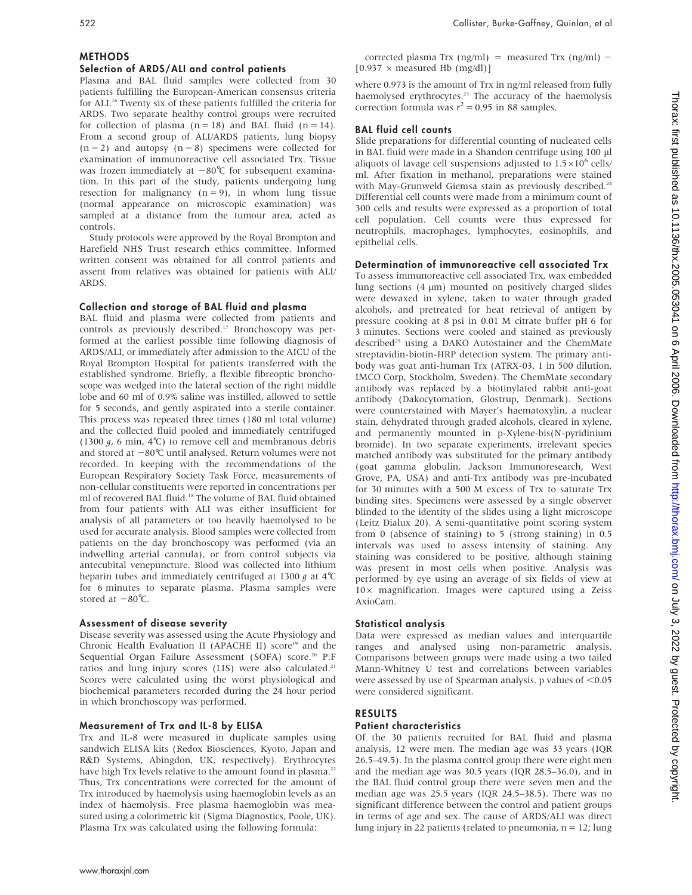### METHODS

### Selection of ARDS/ALI and control patients

Plasma and BAL fluid samples were collected from 30 patients fulfilling the European-American consensus criteria for ALI.16 Twenty six of these patients fulfilled the criteria for ARDS. Two separate healthy control groups were recruited for collection of plasma  $(n = 18)$  and BAL fluid  $(n = 14)$ . From a second group of ALI/ARDS patients, lung biopsy  $(n = 2)$  and autopsy  $(n = 8)$  specimens were collected for examination of immunoreactive cell associated Trx. Tissue was frozen immediately at  $-80^{\circ}$ C for subsequent examination. In this part of the study, patients undergoing lung resection for malignancy  $(n = 9)$ , in whom lung tissue (normal appearance on microscopic examination) was sampled at a distance from the tumour area, acted as controls.

Study protocols were approved by the Royal Brompton and Harefield NHS Trust research ethics committee. Informed written consent was obtained for all control patients and assent from relatives was obtained for patients with ALI/ ARDS.

### Collection and storage of BAL fluid and plasma

BAL fluid and plasma were collected from patients and controls as previously described.<sup>17</sup> Bronchoscopy was performed at the earliest possible time following diagnosis of ARDS/ALI, or immediately after admission to the AICU of the Royal Brompton Hospital for patients transferred with the established syndrome. Briefly, a flexible fibreoptic bronchoscope was wedged into the lateral section of the right middle lobe and 60 ml of 0.9% saline was instilled, allowed to settle for 5 seconds, and gently aspirated into a sterile container. This process was repeated three times (180 ml total volume) and the collected fluid pooled and immediately centrifuged (1300  $g$ , 6 min, 4°C) to remove cell and membranous debris and stored at  $-80^{\circ}$ C until analysed. Return volumes were not recorded. In keeping with the recommendations of the European Respiratory Society Task Force, measurements of non-cellular constituents were reported in concentrations per ml of recovered BAL fluid.18 The volume of BAL fluid obtained from four patients with ALI was either insufficient for analysis of all parameters or too heavily haemolysed to be used for accurate analysis. Blood samples were collected from patients on the day bronchoscopy was performed (via an indwelling arterial cannula), or from control subjects via antecubital venepuncture. Blood was collected into lithium heparin tubes and immediately centrifuged at 1300  $g$  at 4°C for 6 minutes to separate plasma. Plasma samples were stored at  $-80^{\circ}$ C.

### Assessment of disease severity

Disease severity was assessed using the Acute Physiology and Chronic Health Evaluation II (APACHE II) score<sup>19</sup> and the Sequential Organ Failure Assessment (SOFA) score.<sup>20</sup> P:F ratios and lung injury scores (LIS) were also calculated.<sup>21</sup> Scores were calculated using the worst physiological and biochemical parameters recorded during the 24 hour period in which bronchoscopy was performed.

### Measurement of Trx and IL-8 by ELISA

Trx and IL-8 were measured in duplicate samples using sandwich ELISA kits (Redox Biosciences, Kyoto, Japan and R&D Systems, Abingdon, UK, respectively). Erythrocytes have high Trx levels relative to the amount found in plasma.<sup>22</sup> Thus, Trx concentrations were corrected for the amount of Trx introduced by haemolysis using haemoglobin levels as an index of haemolysis. Free plasma haemoglobin was measured using a colorimetric kit (Sigma Diagnostics, Poole, UK). Plasma Trx was calculated using the following formula:

corrected plasma Trx (ng/ml) = measured Trx (ng/ml) - $[0.937 \times$  measured Hb (mg/dl)]

where 0.973 is the amount of Trx in ng/ml released from fully haemolysed erythrocytes.<sup>23</sup> The accuracy of the haemolysis correction formula was  $r^2 = 0.95$  in 88 samples.

### BAL fluid cell counts

Slide preparations for differential counting of nucleated cells in BAL fluid were made in a Shandon centrifuge using 100 ml aliquots of lavage cell suspensions adjusted to  $1.5\times10^6$  cells/ ml. After fixation in methanol, preparations were stained with May-Grunweld Giemsa stain as previously described.<sup>24</sup> Differential cell counts were made from a minimum count of 300 cells and results were expressed as a proportion of total cell population. Cell counts were thus expressed for neutrophils, macrophages, lymphocytes, eosinophils, and epithelial cells.

## Determination of immunoreactive cell associated Trx

To assess immunoreactive cell associated Trx, wax embedded lung sections  $(4 \mu m)$  mounted on positively charged slides were dewaxed in xylene, taken to water through graded alcohols, and pretreated for heat retrieval of antigen by pressure cooking at 8 psi in 0.01 M citrate buffer pH 6 for 3 minutes. Sections were cooled and stained as previously described<sup>25</sup> using a DAKO Autostainer and the ChemMate streptavidin-biotin-HRP detection system. The primary antibody was goat anti-human Trx (ATRX-03, 1 in 500 dilution, IMCO Corp, Stockholm, Sweden). The ChemMate secondary antibody was replaced by a biotinylated rabbit anti-goat antibody (Dakocytomation, Glostrup, Denmark). Sections were counterstained with Mayer's haematoxylin, a nuclear stain, dehydrated through graded alcohols, cleared in xylene, and permanently mounted in p-Xylene-bis(N-pyridinium bromide). In two separate experiments, irrelevant species matched antibody was substituted for the primary antibody (goat gamma globulin, Jackson Immunoresearch, West Grove, PA, USA) and anti-Trx antibody was pre-incubated for 30 minutes with a 500 M excess of Trx to saturate Trx binding sites. Specimens were assessed by a single observer blinded to the identity of the slides using a light microscope (Leitz Dialux 20). A semi-quantitative point scoring system from 0 (absence of staining) to 5 (strong staining) in 0.5 intervals was used to assess intensity of staining. Any staining was considered to be positive, although staining was present in most cells when positive. Analysis was performed by eye using an average of six fields of view at  $10\times$  magnification. Images were captured using a Zeiss AxioCam.

### Statistical analysis

Data were expressed as median values and interquartile ranges and analysed using non-parametric analysis. Comparisons between groups were made using a two tailed Mann-Whitney U test and correlations between variables were assessed by use of Spearman analysis. p values of  $< 0.05$ were considered significant.

#### RESULTS

### Patient characteristics

Of the 30 patients recruited for BAL fluid and plasma analysis, 12 were men. The median age was 33 years (IQR 26.5–49.5). In the plasma control group there were eight men and the median age was 30.5 years (IQR 28.5–36.0), and in the BAL fluid control group there were seven men and the median age was 25.5 years (IQR 24.5–38.5). There was no significant difference between the control and patient groups in terms of age and sex. The cause of ARDS/ALI was direct lung injury in 22 patients (related to pneumonia,  $n = 12$ ; lung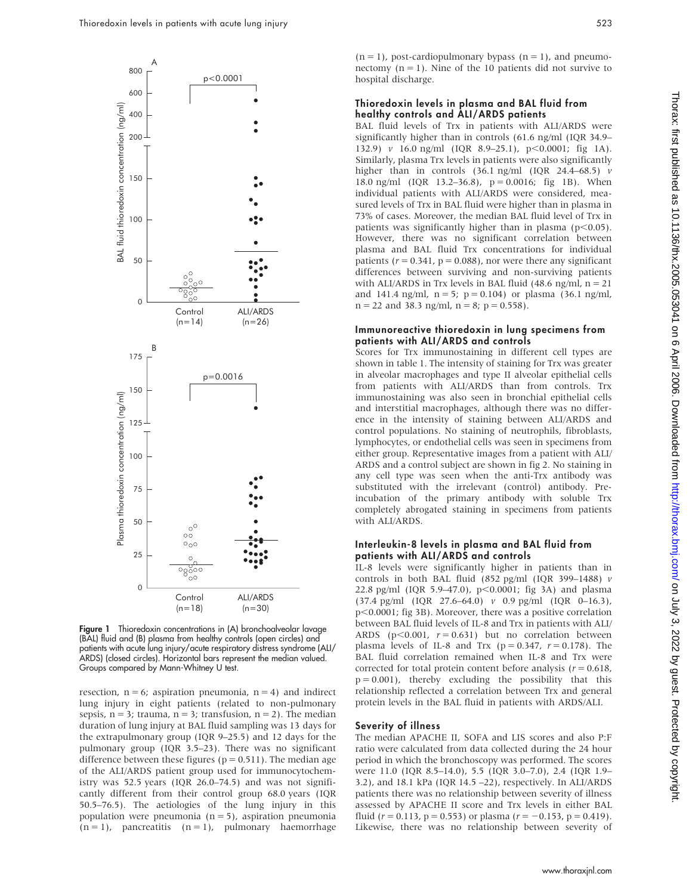

Figure 1 Thioredoxin concentrations in (A) bronchoalveolar lavage (BAL) fluid and (B) plasma from healthy controls (open circles) and patients with acute lung injury/acute respiratory distress syndrome (ALI/ ARDS) (closed circles). Horizontal bars represent the median valued. Groups compared by Mann-Whitney U test.

resection,  $n = 6$ ; aspiration pneumonia,  $n = 4$ ) and indirect lung injury in eight patients (related to non-pulmonary sepsis,  $n = 3$ ; trauma,  $n = 3$ ; transfusion,  $n = 2$ ). The median duration of lung injury at BAL fluid sampling was 13 days for the extrapulmonary group (IQR 9–25.5) and 12 days for the pulmonary group (IQR 3.5–23). There was no significant difference between these figures ( $p = 0.511$ ). The median age of the ALI/ARDS patient group used for immunocytochemistry was 52.5 years (IQR 26.0–74.5) and was not significantly different from their control group 68.0 years (IQR 50.5–76.5). The aetiologies of the lung injury in this population were pneumonia  $(n = 5)$ , aspiration pneumonia  $(n = 1)$ , pancreatitis  $(n = 1)$ , pulmonary haemorrhage

 $(n = 1)$ , post-cardiopulmonary bypass  $(n = 1)$ , and pneumonectomy  $(n = 1)$ . Nine of the 10 patients did not survive to hospital discharge.

#### Thioredoxin levels in plasma and BAL fluid from healthy controls and ALI/ARDS patients

BAL fluid levels of Trx in patients with ALI/ARDS were significantly higher than in controls (61.6 ng/ml (IQR 34.9– 132.9) v 16.0 ng/ml (IQR 8.9-25.1), p<0.0001; fig 1A). Similarly, plasma Trx levels in patients were also significantly higher than in controls (36.1 ng/ml (IQR 24.4–68.5) v 18.0 ng/ml (IQR 13.2–36.8),  $p = 0.0016$ ; fig 1B). When individual patients with ALI/ARDS were considered, measured levels of Trx in BAL fluid were higher than in plasma in 73% of cases. Moreover, the median BAL fluid level of Trx in patients was significantly higher than in plasma ( $p<0.05$ ). However, there was no significant correlation between plasma and BAL fluid Trx concentrations for individual patients ( $r = 0.341$ ,  $p = 0.088$ ), nor were there any significant differences between surviving and non-surviving patients with ALI/ARDS in Trx levels in BAL fluid  $(48.6 \text{ ng/ml}, n = 21)$ and 141.4 ng/ml,  $n = 5$ ;  $p = 0.104$ ) or plasma (36.1 ng/ml,  $n = 22$  and 38.3 ng/ml,  $n = 8$ ;  $p = 0.558$ ).

#### Immunoreactive thioredoxin in lung specimens from patients with ALI/ARDS and controls

Scores for Trx immunostaining in different cell types are shown in table 1. The intensity of staining for Trx was greater in alveolar macrophages and type II alveolar epithelial cells from patients with ALI/ARDS than from controls. Trx immunostaining was also seen in bronchial epithelial cells and interstitial macrophages, although there was no difference in the intensity of staining between ALI/ARDS and control populations. No staining of neutrophils, fibroblasts, lymphocytes, or endothelial cells was seen in specimens from either group. Representative images from a patient with ALI/ ARDS and a control subject are shown in fig 2. No staining in any cell type was seen when the anti-Trx antibody was substituted with the irrelevant (control) antibody. Preincubation of the primary antibody with soluble Trx completely abrogated staining in specimens from patients with ALI/ARDS.

#### Interleukin-8 levels in plasma and BAL fluid from patients with ALI/ARDS and controls

IL-8 levels were significantly higher in patients than in controls in both BAL fluid (852 pg/ml (IQR 399-1488)  $\nu$ 22.8 pg/ml (IQR 5.9-47.0),  $p$ <0.0001; fig 3A) and plasma (37.4 pg/ml (IQR 27.6–64.0) v 0.9 pg/ml (IQR 0–16.3),  $p<0.0001$ ; fig 3B). Moreover, there was a positive correlation between BAL fluid levels of IL-8 and Trx in patients with ALI/ ARDS ( $p$ <0.001,  $r = 0.631$ ) but no correlation between plasma levels of IL-8 and Trx ( $p = 0.347$ ,  $r = 0.178$ ). The BAL fluid correlation remained when IL-8 and Trx were corrected for total protein content before analysis ( $r = 0.618$ ,  $p = 0.001$ ), thereby excluding the possibility that this relationship reflected a correlation between Trx and general protein levels in the BAL fluid in patients with ARDS/ALI.

#### Severity of illness

The median APACHE II, SOFA and LIS scores and also P:F ratio were calculated from data collected during the 24 hour period in which the bronchoscopy was performed. The scores were 11.0 (IQR 8.5–14.0), 5.5 (IQR 3.0–7.0), 2.4 (IQR 1.9– 3.2), and 18.1 kPa (IQR 14.5 –22), respectively. In ALI/ARDS patients there was no relationship between severity of illness assessed by APACHE II score and Trx levels in either BAL fluid ( $r = 0.113$ ,  $p = 0.553$ ) or plasma ( $r = -0.153$ ,  $p = 0.419$ ). Likewise, there was no relationship between severity of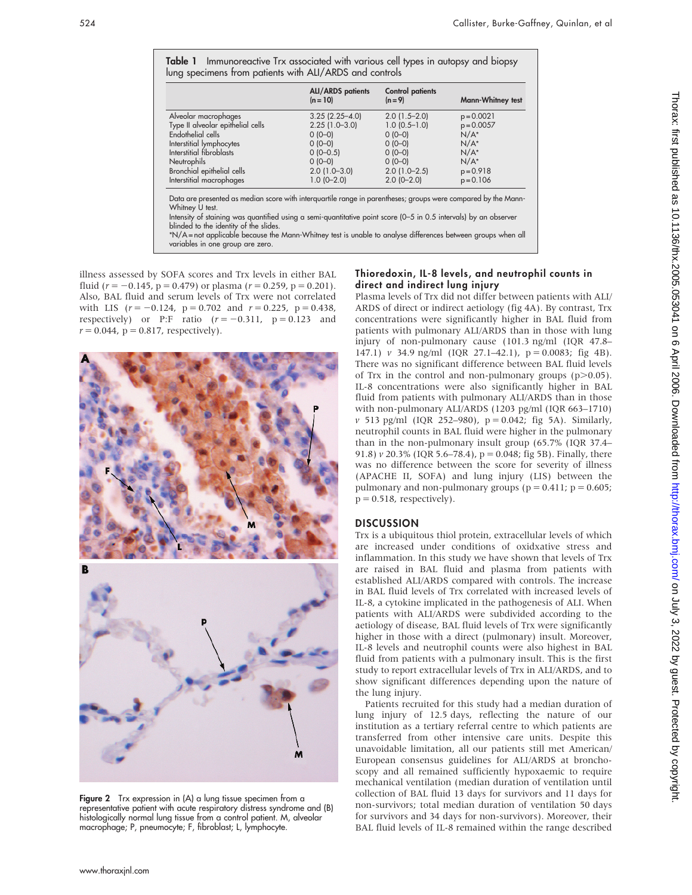Table 1 Immunoreactive Trx associated with various cell types in autopsy and biopsy lung specimens from patients with ALI/ARDS and controls

|                                   | <b>ALI/ARDS</b> patients<br>$(n = 10)$ | <b>Control patients</b><br>$(n = 9)$ | Mann-Whitney test |
|-----------------------------------|----------------------------------------|--------------------------------------|-------------------|
| Alveolar macrophages              | $3.25(2.25 - 4.0)$                     | $2.0$ (1.5-2.0)                      | $p = 0.0021$      |
| Type II alveolar epithelial cells | $2.25(1.0-3.0)$                        | $1.0$ (0.5-1.0)                      | $p = 0.0057$      |
| Endothelial cells                 | $0(0-0)$                               | $0(0-0)$                             | $N/A^*$           |
| Interstitial lymphocytes          | $0(0-0)$                               | $0(0-0)$                             | $N/A^*$           |
| Interstitial fibroblasts          | $0(0-0.5)$                             | $0(0-0)$                             | $N/A^*$           |
| <b>Neutrophils</b>                | $0(0-0)$                               | $0(0-0)$                             | $N/A^*$           |
| Bronchial epithelial cells        | $2.0(1.0-3.0)$                         | $2.0(1.0-2.5)$                       | $p = 0.918$       |
| Interstitial macrophages          | $1.0(0-2.0)$                           | $2.0$ (0-2.0)                        | $p = 0.106$       |

Data are presented as median score with interquartile range in parentheses; groups were compared by the Mann-Whitney U test.

Intensity of staining was quantified using a semi-quantitative point score (0–5 in 0.5 intervals) by an observer blinded to the identity of the slides.

\*N/A = not applicable because the Mann-Whitney test is unable to analyse differences between groups when all variables in one group are zero.

illness assessed by SOFA scores and Trx levels in either BAL fluid ( $r = -0.145$ , p = 0.479) or plasma ( $r = 0.259$ , p = 0.201). Also, BAL fluid and serum levels of Trx were not correlated with LIS  $(r = -0.124, p = 0.702$  and  $r = 0.225, p = 0.438$ , respectively) or P:F ratio  $(r = -0.311, p = 0.123$  and  $r = 0.044$ ,  $p = 0.817$ , respectively).



Figure 2 Trx expression in (A) a lung tissue specimen from a representative patient with acute respiratory distress syndrome and (B) histologically normal lung tissue from a control patient. M, alveolar macrophage; P, pneumocyte; F, fibroblast; L, lymphocyte.

#### Thioredoxin, IL-8 levels, and neutrophil counts in direct and indirect lung injury

Plasma levels of Trx did not differ between patients with ALI/ ARDS of direct or indirect aetiology (fig 4A). By contrast, Trx concentrations were significantly higher in BAL fluid from patients with pulmonary ALI/ARDS than in those with lung injury of non-pulmonary cause (101.3 ng/ml (IQR 47.8– 147.1) v 34.9 ng/ml (IQR 27.1-42.1),  $p = 0.0083$ ; fig 4B). There was no significant difference between BAL fluid levels of Trx in the control and non-pulmonary groups  $(p>0.05)$ . IL-8 concentrations were also significantly higher in BAL fluid from patients with pulmonary ALI/ARDS than in those with non-pulmonary ALI/ARDS (1203 pg/ml (IQR 663–1710)  $v$  513 pg/ml (IQR 252–980),  $p = 0.042$ ; fig 5A). Similarly, neutrophil counts in BAL fluid were higher in the pulmonary than in the non-pulmonary insult group (65.7% (IQR 37.4– 91.8)  $v$  20.3% (IQR 5.6–78.4),  $p = 0.048$ ; fig 5B). Finally, there was no difference between the score for severity of illness (APACHE II, SOFA) and lung injury (LIS) between the pulmonary and non-pulmonary groups ( $p = 0.411$ ;  $p = 0.605$ ;  $p = 0.518$ , respectively).

#### **DISCUSSION**

Trx is a ubiquitous thiol protein, extracellular levels of which are increased under conditions of oxidxative stress and inflammation. In this study we have shown that levels of Trx are raised in BAL fluid and plasma from patients with established ALI/ARDS compared with controls. The increase in BAL fluid levels of Trx correlated with increased levels of IL-8, a cytokine implicated in the pathogenesis of ALI. When patients with ALI/ARDS were subdivided according to the aetiology of disease, BAL fluid levels of Trx were significantly higher in those with a direct (pulmonary) insult. Moreover, IL-8 levels and neutrophil counts were also highest in BAL fluid from patients with a pulmonary insult. This is the first study to report extracellular levels of Trx in ALI/ARDS, and to show significant differences depending upon the nature of the lung injury.

Patients recruited for this study had a median duration of lung injury of 12.5 days, reflecting the nature of our institution as a tertiary referral centre to which patients are transferred from other intensive care units. Despite this unavoidable limitation, all our patients still met American/ European consensus guidelines for ALI/ARDS at bronchoscopy and all remained sufficiently hypoxaemic to require mechanical ventilation (median duration of ventilation until collection of BAL fluid 13 days for survivors and 11 days for non-survivors; total median duration of ventilation 50 days for survivors and 34 days for non-survivors). Moreover, their BAL fluid levels of IL-8 remained within the range described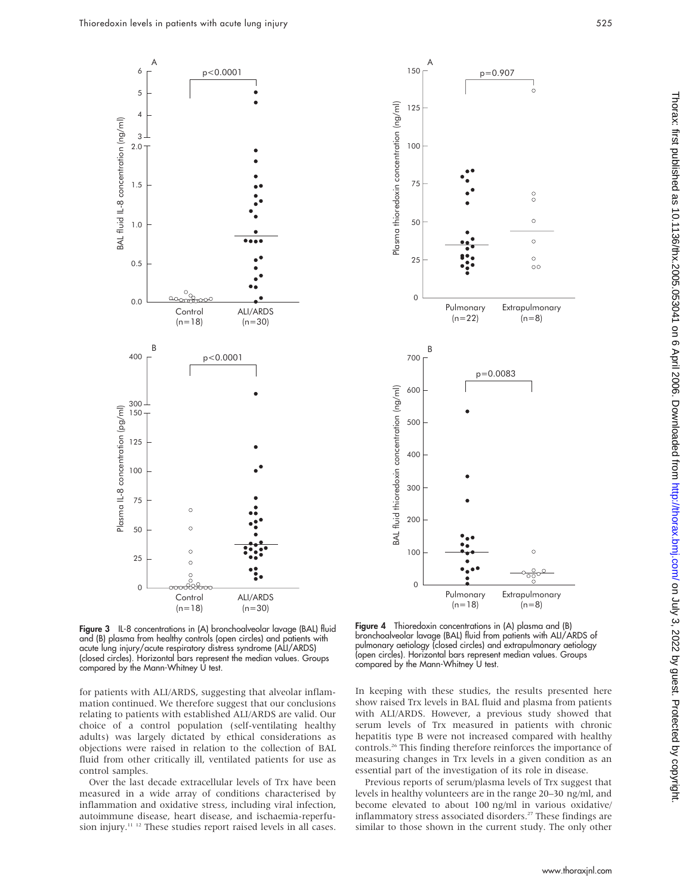



p=0.907

150

A

Figure 3 IL-8 concentrations in (A) bronchoalveolar lavage (BAL) fluid and (B) plasma from healthy controls (open circles) and patients with acute lung injury/acute respiratory distress syndrome (ALI/ARDS) (closed circles). Horizontal bars represent the median values. Groups compared by the Mann-Whitney U test.

for patients with ALI/ARDS, suggesting that alveolar inflammation continued. We therefore suggest that our conclusions relating to patients with established ALI/ARDS are valid. Our choice of a control population (self-ventilating healthy adults) was largely dictated by ethical considerations as objections were raised in relation to the collection of BAL fluid from other critically ill, ventilated patients for use as control samples.

Over the last decade extracellular levels of Trx have been measured in a wide array of conditions characterised by inflammation and oxidative stress, including viral infection, autoimmune disease, heart disease, and ischaemia-reperfusion injury.<sup>11-12</sup> These studies report raised levels in all cases.

Figure 4 Thioredoxin concentrations in (A) plasma and (B) bronchoalveolar lavage (BAL) fluid from patients with ALI/ARDS of pulmonary aetiology (closed circles) and extrapulmonary aetiology (open circles). Horizontal bars represent median values. Groups compared by the Mann-Whitney U test.

In keeping with these studies, the results presented here show raised Trx levels in BAL fluid and plasma from patients with ALI/ARDS. However, a previous study showed that serum levels of Trx measured in patients with chronic hepatitis type B were not increased compared with healthy controls.26 This finding therefore reinforces the importance of measuring changes in Trx levels in a given condition as an essential part of the investigation of its role in disease.

Previous reports of serum/plasma levels of Trx suggest that levels in healthy volunteers are in the range 20–30 ng/ml, and become elevated to about 100 ng/ml in various oxidative/ inflammatory stress associated disorders.<sup>27</sup> These findings are similar to those shown in the current study. The only other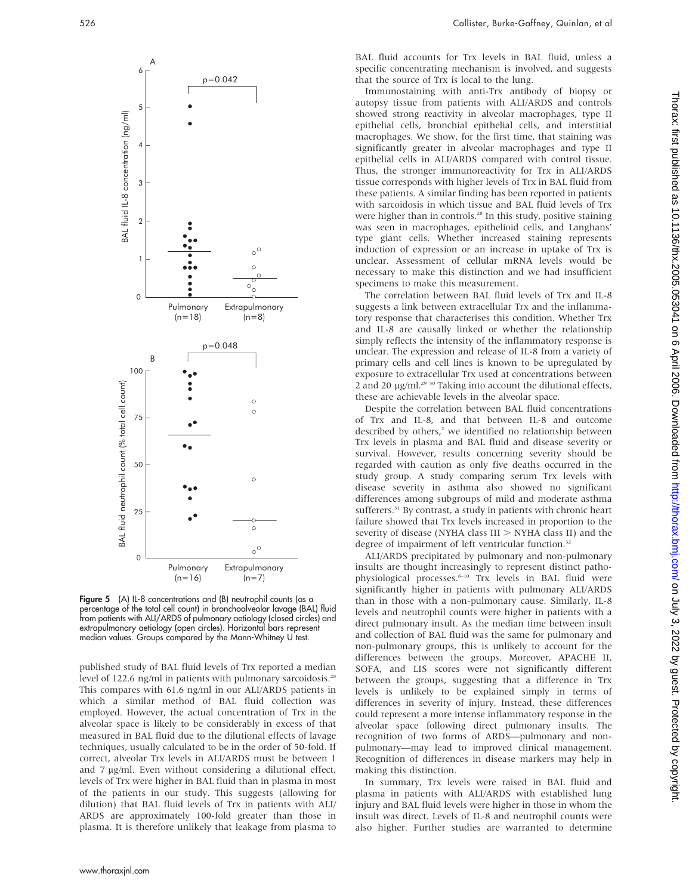

Figure 5 (A) IL-8 concentrations and (B) neutrophil counts (as a percentage of the total cell count) in bronchoalveolar lavage (BAL) fluid from patients with ALI/ARDS of pulmonary aetiology (closed circles) and extrapulmonary aetiology (open circles). Horizontal bars represent median values. Groups compared by the Mann-Whitney U test.

published study of BAL fluid levels of Trx reported a median level of 122.6 ng/ml in patients with pulmonary sarcoidosis.<sup>28</sup> This compares with 61.6 ng/ml in our ALI/ARDS patients in which a similar method of BAL fluid collection was employed. However, the actual concentration of Trx in the alveolar space is likely to be considerably in excess of that measured in BAL fluid due to the dilutional effects of lavage techniques, usually calculated to be in the order of 50-fold. If correct, alveolar Trx levels in ALI/ARDS must be between 1 and 7 µg/ml. Even without considering a dilutional effect, levels of Trx were higher in BAL fluid than in plasma in most of the patients in our study. This suggests (allowing for dilution) that BAL fluid levels of Trx in patients with ALI/ ARDS are approximately 100-fold greater than those in plasma. It is therefore unlikely that leakage from plasma to

BAL fluid accounts for Trx levels in BAL fluid, unless a specific concentrating mechanism is involved, and suggests that the source of Trx is local to the lung.

Immunostaining with anti-Trx antibody of biopsy or autopsy tissue from patients with ALI/ARDS and controls showed strong reactivity in alveolar macrophages, type II epithelial cells, bronchial epithelial cells, and interstitial macrophages. We show, for the first time, that staining was significantly greater in alveolar macrophages and type II epithelial cells in ALI/ARDS compared with control tissue. Thus, the stronger immunoreactivity for Trx in ALI/ARDS tissue corresponds with higher levels of Trx in BAL fluid from these patients. A similar finding has been reported in patients with sarcoidosis in which tissue and BAL fluid levels of Trx were higher than in controls.<sup>28</sup> In this study, positive staining was seen in macrophages, epithelioid cells, and Langhans' type giant cells. Whether increased staining represents induction of expression or an increase in uptake of Trx is unclear. Assessment of cellular mRNA levels would be necessary to make this distinction and we had insufficient specimens to make this measurement.

The correlation between BAL fluid levels of Trx and IL-8 suggests a link between extracellular Trx and the inflammatory response that characterises this condition. Whether Trx and IL-8 are causally linked or whether the relationship simply reflects the intensity of the inflammatory response is unclear. The expression and release of IL-8 from a variety of primary cells and cell lines is known to be upregulated by exposure to extracellular Trx used at concentrations between 2 and 20  $\mu$ g/ml.<sup>29 30</sup> Taking into account the dilutional effects, these are achievable levels in the alveolar space.

Despite the correlation between BAL fluid concentrations of Trx and IL-8, and that between IL-8 and outcome described by others, $2$  we identified no relationship between Trx levels in plasma and BAL fluid and disease severity or survival. However, results concerning severity should be regarded with caution as only five deaths occurred in the study group. A study comparing serum Trx levels with disease severity in asthma also showed no significant differences among subgroups of mild and moderate asthma sufferers.<sup>31</sup> By contrast, a study in patients with chronic heart failure showed that Trx levels increased in proportion to the severity of disease (NYHA class  $III > NYHA$  class II) and the degree of impairment of left ventricular function.<sup>32</sup>

ALI/ARDS precipitated by pulmonary and non-pulmonary insults are thought increasingly to represent distinct pathophysiological processes.<sup>8-10</sup> Trx levels in BAL fluid were significantly higher in patients with pulmonary ALI/ARDS than in those with a non-pulmonary cause. Similarly, IL-8 levels and neutrophil counts were higher in patients with a direct pulmonary insult. As the median time between insult and collection of BAL fluid was the same for pulmonary and non-pulmonary groups, this is unlikely to account for the differences between the groups. Moreover, APACHE II, SOFA, and LIS scores were not significantly different between the groups, suggesting that a difference in Trx levels is unlikely to be explained simply in terms of differences in severity of injury. Instead, these differences could represent a more intense inflammatory response in the alveolar space following direct pulmonary insults. The recognition of two forms of ARDS—pulmonary and nonpulmonary—may lead to improved clinical management. Recognition of differences in disease markers may help in making this distinction.

In summary, Trx levels were raised in BAL fluid and plasma in patients with ALI/ARDS with established lung injury and BAL fluid levels were higher in those in whom the insult was direct. Levels of IL-8 and neutrophil counts were also higher. Further studies are warranted to determine